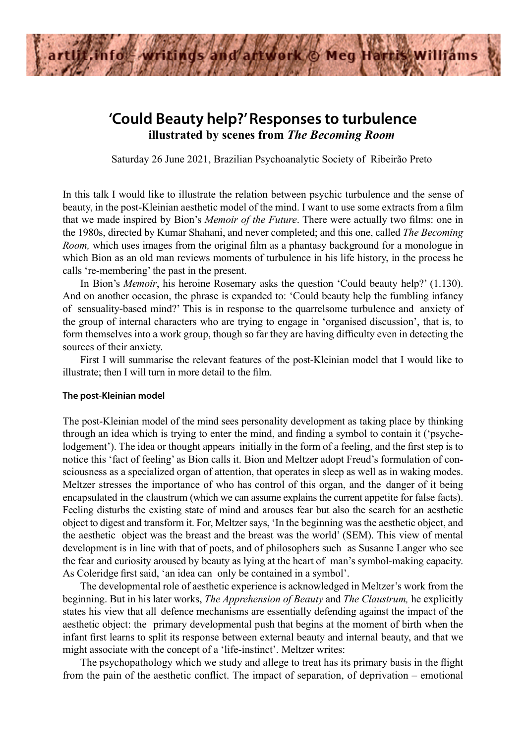

# **'Could Beauty help?' Responses to turbulence illustrated by scenes from** *The Becoming Room*

Saturday 26 June 2021, Brazilian Psychoanalytic Society of Ribeirão Preto

In this talk I would like to illustrate the relation between psychic turbulence and the sense of beauty, in the post-Kleinian aesthetic model of the mind. I want to use some extracts from a film that we made inspired by Bion's *Memoir of the Future*. There were actually two films: one in the 1980s, directed by Kumar Shahani, and never completed; and this one, called *The Becoming Room,* which uses images from the original film as a phantasy background for a monologue in which Bion as an old man reviews moments of turbulence in his life history, in the process he calls 're-membering' the past in the present.

In Bion's *Memoir*, his heroine Rosemary asks the question 'Could beauty help?' (1.130). And on another occasion, the phrase is expanded to: 'Could beauty help the fumbling infancy of sensuality-based mind?' This is in response to the quarrelsome turbulence and anxiety of the group of internal characters who are trying to engage in 'organised discussion', that is, to form themselves into a work group, though so far they are having difficulty even in detecting the sources of their anxiety.

First I will summarise the relevant features of the post-Kleinian model that I would like to illustrate; then I will turn in more detail to the film.

### **The post-Kleinian model**

The post-Kleinian model of the mind sees personality development as taking place by thinking through an idea which is trying to enter the mind, and finding a symbol to contain it ('psychelodgement'). The idea or thought appears initially in the form of a feeling, and the first step is to notice this 'fact of feeling' as Bion calls it. Bion and Meltzer adopt Freud's formulation of consciousness as a specialized organ of attention, that operates in sleep as well as in waking modes. Meltzer stresses the importance of who has control of this organ, and the danger of it being encapsulated in the claustrum (which we can assume explains the current appetite for false facts). Feeling disturbs the existing state of mind and arouses fear but also the search for an aesthetic object to digest and transform it. For, Meltzer says, 'In the beginning was the aesthetic object, and the aesthetic object was the breast and the breast was the world' (SEM). This view of mental development is in line with that of poets, and of philosophers such as Susanne Langer who see the fear and curiosity aroused by beauty as lying at the heart of man's symbol-making capacity. As Coleridge first said, 'an idea can only be contained in a symbol'.

The developmental role of aesthetic experience is acknowledged in Meltzer's work from the beginning. But in his later works, *The Apprehension of Beauty* and *The Claustrum,* he explicitly states his view that all defence mechanisms are essentially defending against the impact of the aesthetic object: the primary developmental push that begins at the moment of birth when the infant first learns to split its response between external beauty and internal beauty, and that we might associate with the concept of a 'life-instinct'. Meltzer writes:

The psychopathology which we study and allege to treat has its primary basis in the flight from the pain of the aesthetic conflict. The impact of separation, of deprivation – emotional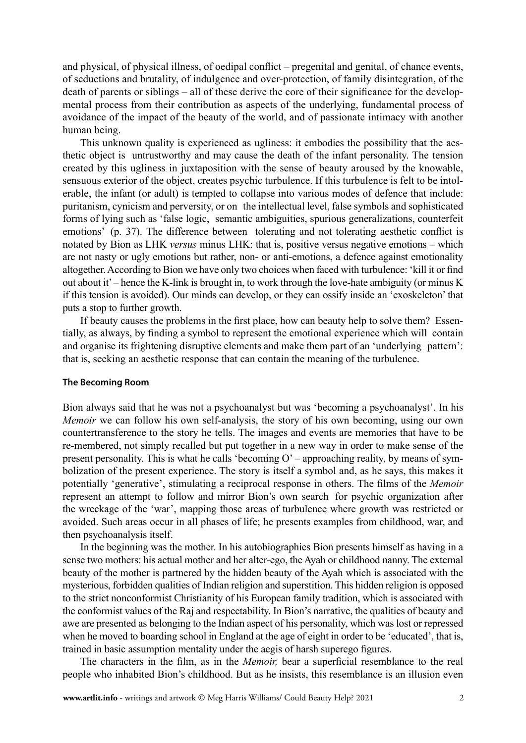and physical, of physical illness, of oedipal conflict – pregenital and genital, of chance events, of seductions and brutality, of indulgence and over-protection, of family disintegration, of the death of parents or siblings – all of these derive the core of their significance for the developmental process from their contribution as aspects of the underlying, fundamental process of avoidance of the impact of the beauty of the world, and of passionate intimacy with another human being.

This unknown quality is experienced as ugliness: it embodies the possibility that the aesthetic object is untrustworthy and may cause the death of the infant personality. The tension created by this ugliness in juxtaposition with the sense of beauty aroused by the knowable, sensuous exterior of the object, creates psychic turbulence. If this turbulence is felt to be intolerable, the infant (or adult) is tempted to collapse into various modes of defence that include: puritanism, cynicism and perversity, or on the intellectual level, false symbols and sophisticated forms of lying such as 'false logic, semantic ambiguities, spurious generalizations, counterfeit emotions' (p. 37). The difference between tolerating and not tolerating aesthetic conflict is notated by Bion as LHK *versus* minus LHK: that is, positive versus negative emotions – which are not nasty or ugly emotions but rather, non- or anti-emotions, a defence against emotionality altogether. According to Bion we have only two choices when faced with turbulence: 'kill it or find out about it' – hence the K-link is brought in, to work through the love-hate ambiguity (or minus K if this tension is avoided). Our minds can develop, or they can ossify inside an 'exoskeleton' that puts a stop to further growth.

If beauty causes the problems in the first place, how can beauty help to solve them? Essentially, as always, by finding a symbol to represent the emotional experience which will contain and organise its frightening disruptive elements and make them part of an 'underlying pattern': that is, seeking an aesthetic response that can contain the meaning of the turbulence.

## **The Becoming Room**

Bion always said that he was not a psychoanalyst but was 'becoming a psychoanalyst'. In his *Memoir* we can follow his own self-analysis, the story of his own becoming, using our own countertransference to the story he tells. The images and events are memories that have to be re-membered, not simply recalled but put together in a new way in order to make sense of the present personality. This is what he calls 'becoming O' – approaching reality, by means of symbolization of the present experience. The story is itself a symbol and, as he says, this makes it potentially 'generative', stimulating a reciprocal response in others. The films of the *Memoir* represent an attempt to follow and mirror Bion's own search for psychic organization after the wreckage of the 'war', mapping those areas of turbulence where growth was restricted or avoided. Such areas occur in all phases of life; he presents examples from childhood, war, and then psychoanalysis itself.

In the beginning was the mother. In his autobiographies Bion presents himself as having in a sense two mothers: his actual mother and her alter-ego, the Ayah or childhood nanny. The external beauty of the mother is partnered by the hidden beauty of the Ayah which is associated with the mysterious, forbidden qualities of Indian religion and superstition. This hidden religion is opposed to the strict nonconformist Christianity of his European family tradition, which is associated with the conformist values of the Raj and respectability. In Bion's narrative, the qualities of beauty and awe are presented as belonging to the Indian aspect of his personality, which was lost or repressed when he moved to boarding school in England at the age of eight in order to be 'educated', that is, trained in basic assumption mentality under the aegis of harsh superego figures.

The characters in the film, as in the *Memoir,* bear a superficial resemblance to the real people who inhabited Bion's childhood. But as he insists, this resemblance is an illusion even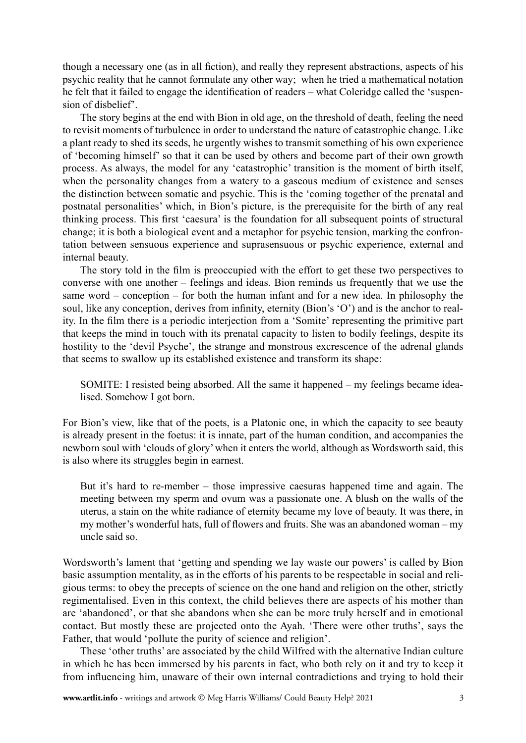though a necessary one (as in all fiction), and really they represent abstractions, aspects of his psychic reality that he cannot formulate any other way; when he tried a mathematical notation he felt that it failed to engage the identification of readers – what Coleridge called the 'suspension of disbelief'.

The story begins at the end with Bion in old age, on the threshold of death, feeling the need to revisit moments of turbulence in order to understand the nature of catastrophic change. Like a plant ready to shed its seeds, he urgently wishes to transmit something of his own experience of 'becoming himself' so that it can be used by others and become part of their own growth process. As always, the model for any 'catastrophic' transition is the moment of birth itself, when the personality changes from a watery to a gaseous medium of existence and senses the distinction between somatic and psychic. This is the 'coming together of the prenatal and postnatal personalities' which, in Bion's picture, is the prerequisite for the birth of any real thinking process. This first 'caesura' is the foundation for all subsequent points of structural change; it is both a biological event and a metaphor for psychic tension, marking the confrontation between sensuous experience and suprasensuous or psychic experience, external and internal beauty.

The story told in the film is preoccupied with the effort to get these two perspectives to converse with one another – feelings and ideas. Bion reminds us frequently that we use the same word – conception – for both the human infant and for a new idea. In philosophy the soul, like any conception, derives from infinity, eternity (Bion's 'O') and is the anchor to reality. In the film there is a periodic interjection from a 'Somite' representing the primitive part that keeps the mind in touch with its prenatal capacity to listen to bodily feelings, despite its hostility to the 'devil Psyche', the strange and monstrous excrescence of the adrenal glands that seems to swallow up its established existence and transform its shape:

SOMITE: I resisted being absorbed. All the same it happened – my feelings became idealised. Somehow I got born.

For Bion's view, like that of the poets, is a Platonic one, in which the capacity to see beauty is already present in the foetus: it is innate, part of the human condition, and accompanies the newborn soul with 'clouds of glory' when it enters the world, although as Wordsworth said, this is also where its struggles begin in earnest.

But it's hard to re-member – those impressive caesuras happened time and again. The meeting between my sperm and ovum was a passionate one. A blush on the walls of the uterus, a stain on the white radiance of eternity became my love of beauty. It was there, in my mother's wonderful hats, full of flowers and fruits. She was an abandoned woman – my uncle said so.

Wordsworth's lament that 'getting and spending we lay waste our powers' is called by Bion basic assumption mentality, as in the efforts of his parents to be respectable in social and religious terms: to obey the precepts of science on the one hand and religion on the other, strictly regimentalised. Even in this context, the child believes there are aspects of his mother than are 'abandoned', or that she abandons when she can be more truly herself and in emotional contact. But mostly these are projected onto the Ayah. 'There were other truths', says the Father, that would 'pollute the purity of science and religion'.

These 'other truths' are associated by the child Wilfred with the alternative Indian culture in which he has been immersed by his parents in fact, who both rely on it and try to keep it from influencing him, unaware of their own internal contradictions and trying to hold their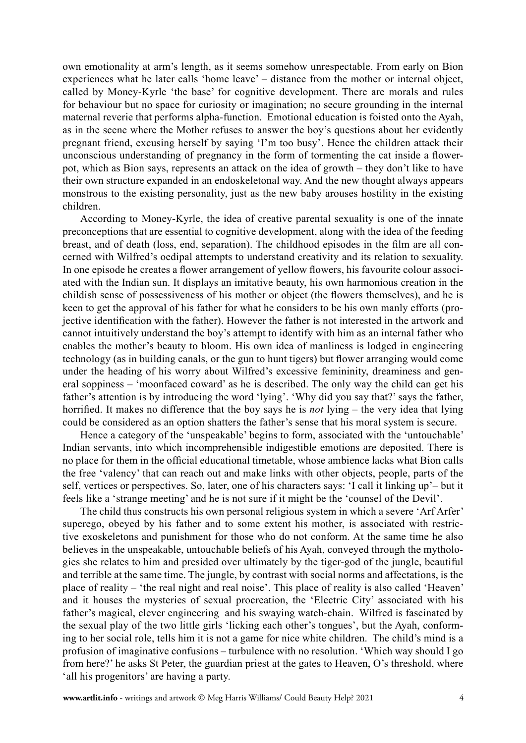own emotionality at arm's length, as it seems somehow unrespectable. From early on Bion experiences what he later calls 'home leave' – distance from the mother or internal object, called by Money-Kyrle 'the base' for cognitive development. There are morals and rules for behaviour but no space for curiosity or imagination; no secure grounding in the internal maternal reverie that performs alpha-function. Emotional education is foisted onto the Ayah, as in the scene where the Mother refuses to answer the boy's questions about her evidently pregnant friend, excusing herself by saying 'I'm too busy'. Hence the children attack their unconscious understanding of pregnancy in the form of tormenting the cat inside a flowerpot, which as Bion says, represents an attack on the idea of growth – they don't like to have their own structure expanded in an endoskeletonal way. And the new thought always appears monstrous to the existing personality, just as the new baby arouses hostility in the existing children.

According to Money-Kyrle, the idea of creative parental sexuality is one of the innate preconceptions that are essential to cognitive development, along with the idea of the feeding breast, and of death (loss, end, separation). The childhood episodes in the film are all concerned with Wilfred's oedipal attempts to understand creativity and its relation to sexuality. In one episode he creates a flower arrangement of yellow flowers, his favourite colour associated with the Indian sun. It displays an imitative beauty, his own harmonious creation in the childish sense of possessiveness of his mother or object (the flowers themselves), and he is keen to get the approval of his father for what he considers to be his own manly efforts (projective identification with the father). However the father is not interested in the artwork and cannot intuitively understand the boy's attempt to identify with him as an internal father who enables the mother's beauty to bloom. His own idea of manliness is lodged in engineering technology (as in building canals, or the gun to hunt tigers) but flower arranging would come under the heading of his worry about Wilfred's excessive femininity, dreaminess and general soppiness – 'moonfaced coward' as he is described. The only way the child can get his father's attention is by introducing the word 'lying'. 'Why did you say that?' says the father, horrified. It makes no difference that the boy says he is *not* lying – the very idea that lying could be considered as an option shatters the father's sense that his moral system is secure.

Hence a category of the 'unspeakable' begins to form, associated with the 'untouchable' Indian servants, into which incomprehensible indigestible emotions are deposited. There is no place for them in the official educational timetable, whose ambience lacks what Bion calls the free 'valency' that can reach out and make links with other objects, people, parts of the self, vertices or perspectives. So, later, one of his characters says: 'I call it linking up'– but it feels like a 'strange meeting' and he is not sure if it might be the 'counsel of the Devil'.

The child thus constructs his own personal religious system in which a severe 'Arf Arfer' superego, obeyed by his father and to some extent his mother, is associated with restrictive exoskeletons and punishment for those who do not conform. At the same time he also believes in the unspeakable, untouchable beliefs of his Ayah, conveyed through the mythologies she relates to him and presided over ultimately by the tiger-god of the jungle, beautiful and terrible at the same time. The jungle, by contrast with social norms and affectations, is the place of reality – 'the real night and real noise'. This place of reality is also called 'Heaven' and it houses the mysteries of sexual procreation, the 'Electric City' associated with his father's magical, clever engineering and his swaying watch-chain. Wilfred is fascinated by the sexual play of the two little girls 'licking each other's tongues', but the Ayah, conforming to her social role, tells him it is not a game for nice white children. The child's mind is a profusion of imaginative confusions – turbulence with no resolution. 'Which way should I go from here?' he asks St Peter, the guardian priest at the gates to Heaven, O's threshold, where 'all his progenitors' are having a party.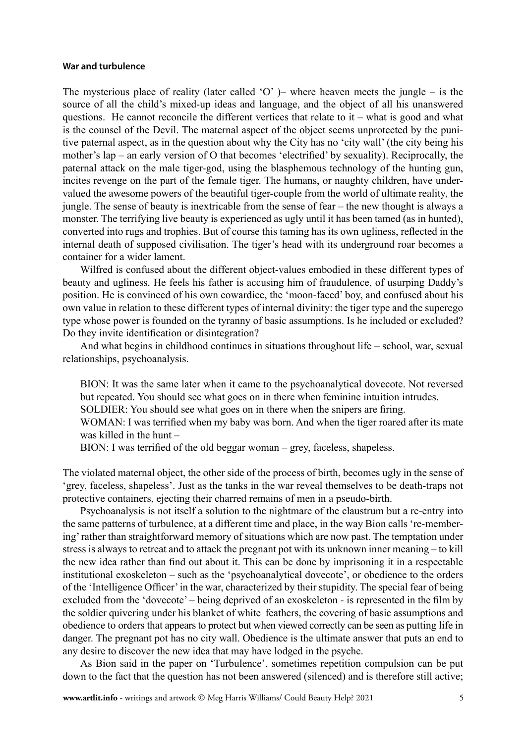#### **War and turbulence**

The mysterious place of reality (later called 'O' )– where heaven meets the jungle – is the source of all the child's mixed-up ideas and language, and the object of all his unanswered questions. He cannot reconcile the different vertices that relate to  $it$  – what is good and what is the counsel of the Devil. The maternal aspect of the object seems unprotected by the punitive paternal aspect, as in the question about why the City has no 'city wall' (the city being his mother's lap – an early version of O that becomes 'electrified' by sexuality). Reciprocally, the paternal attack on the male tiger-god, using the blasphemous technology of the hunting gun, incites revenge on the part of the female tiger. The humans, or naughty children, have undervalued the awesome powers of the beautiful tiger-couple from the world of ultimate reality, the jungle. The sense of beauty is inextricable from the sense of fear – the new thought is always a monster. The terrifying live beauty is experienced as ugly until it has been tamed (as in hunted), converted into rugs and trophies. But of course this taming has its own ugliness, reflected in the internal death of supposed civilisation. The tiger's head with its underground roar becomes a container for a wider lament.

Wilfred is confused about the different object-values embodied in these different types of beauty and ugliness. He feels his father is accusing him of fraudulence, of usurping Daddy's position. He is convinced of his own cowardice, the 'moon-faced' boy, and confused about his own value in relation to these different types of internal divinity: the tiger type and the superego type whose power is founded on the tyranny of basic assumptions. Is he included or excluded? Do they invite identification or disintegration?

And what begins in childhood continues in situations throughout life – school, war, sexual relationships, psychoanalysis.

BION: It was the same later when it came to the psychoanalytical dovecote. Not reversed but repeated. You should see what goes on in there when feminine intuition intrudes.

SOLDIER: You should see what goes on in there when the snipers are firing.

WOMAN: I was terrified when my baby was born. And when the tiger roared after its mate was killed in the hunt –

BION: I was terrified of the old beggar woman – grey, faceless, shapeless.

The violated maternal object, the other side of the process of birth, becomes ugly in the sense of 'grey, faceless, shapeless'. Just as the tanks in the war reveal themselves to be death-traps not protective containers, ejecting their charred remains of men in a pseudo-birth.

Psychoanalysis is not itself a solution to the nightmare of the claustrum but a re-entry into the same patterns of turbulence, at a different time and place, in the way Bion calls 're-membering' rather than straightforward memory of situations which are now past. The temptation under stress is always to retreat and to attack the pregnant pot with its unknown inner meaning – to kill the new idea rather than find out about it. This can be done by imprisoning it in a respectable institutional exoskeleton – such as the 'psychoanalytical dovecote', or obedience to the orders of the 'Intelligence Officer' in the war, characterized by their stupidity. The special fear of being excluded from the 'dovecote' – being deprived of an exoskeleton - is represented in the film by the soldier quivering under his blanket of white feathers, the covering of basic assumptions and obedience to orders that appears to protect but when viewed correctly can be seen as putting life in danger. The pregnant pot has no city wall. Obedience is the ultimate answer that puts an end to any desire to discover the new idea that may have lodged in the psyche.

As Bion said in the paper on 'Turbulence', sometimes repetition compulsion can be put down to the fact that the question has not been answered (silenced) and is therefore still active;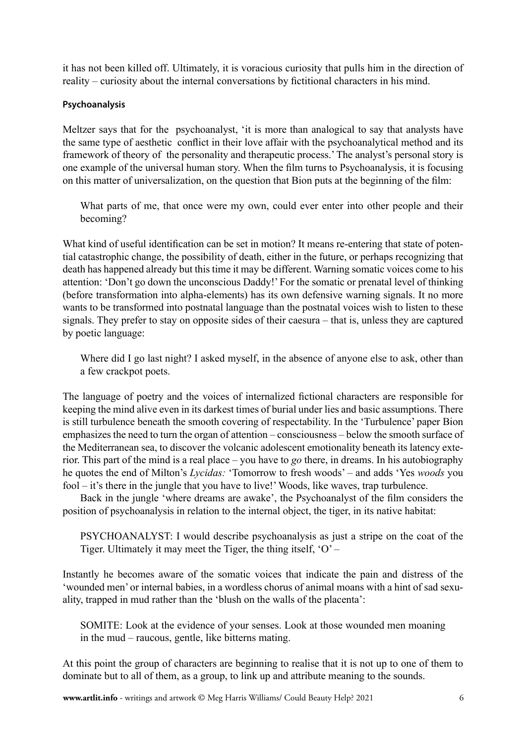it has not been killed off. Ultimately, it is voracious curiosity that pulls him in the direction of reality – curiosity about the internal conversations by fictitional characters in his mind.

# **Psychoanalysis**

Meltzer says that for the psychoanalyst, 'it is more than analogical to say that analysts have the same type of aesthetic conflict in their love affair with the psychoanalytical method and its framework of theory of the personality and therapeutic process.' The analyst's personal story is one example of the universal human story. When the film turns to Psychoanalysis, it is focusing on this matter of universalization, on the question that Bion puts at the beginning of the film:

What parts of me, that once were my own, could ever enter into other people and their becoming?

What kind of useful identification can be set in motion? It means re-entering that state of potential catastrophic change, the possibility of death, either in the future, or perhaps recognizing that death has happened already but this time it may be different. Warning somatic voices come to his attention: 'Don't go down the unconscious Daddy!' For the somatic or prenatal level of thinking (before transformation into alpha-elements) has its own defensive warning signals. It no more wants to be transformed into postnatal language than the postnatal voices wish to listen to these signals. They prefer to stay on opposite sides of their caesura – that is, unless they are captured by poetic language:

Where did I go last night? I asked myself, in the absence of anyone else to ask, other than a few crackpot poets.

The language of poetry and the voices of internalized fictional characters are responsible for keeping the mind alive even in its darkest times of burial under lies and basic assumptions. There is still turbulence beneath the smooth covering of respectability. In the 'Turbulence' paper Bion emphasizes the need to turn the organ of attention – consciousness – below the smooth surface of the Mediterranean sea, to discover the volcanic adolescent emotionality beneath its latency exterior. This part of the mind is a real place – you have to *go* there, in dreams. In his autobiography he quotes the end of Milton's *Lycidas:* 'Tomorrow to fresh woods' – and adds 'Yes *woods* you fool – it's there in the jungle that you have to live!' Woods, like waves, trap turbulence.

Back in the jungle 'where dreams are awake', the Psychoanalyst of the film considers the position of psychoanalysis in relation to the internal object, the tiger, in its native habitat:

PSYCHOANALYST: I would describe psychoanalysis as just a stripe on the coat of the Tiger. Ultimately it may meet the Tiger, the thing itself,  $O'$  –

Instantly he becomes aware of the somatic voices that indicate the pain and distress of the 'wounded men' or internal babies, in a wordless chorus of animal moans with a hint of sad sexuality, trapped in mud rather than the 'blush on the walls of the placenta':

SOMITE: Look at the evidence of your senses. Look at those wounded men moaning in the mud – raucous, gentle, like bitterns mating.

At this point the group of characters are beginning to realise that it is not up to one of them to dominate but to all of them, as a group, to link up and attribute meaning to the sounds.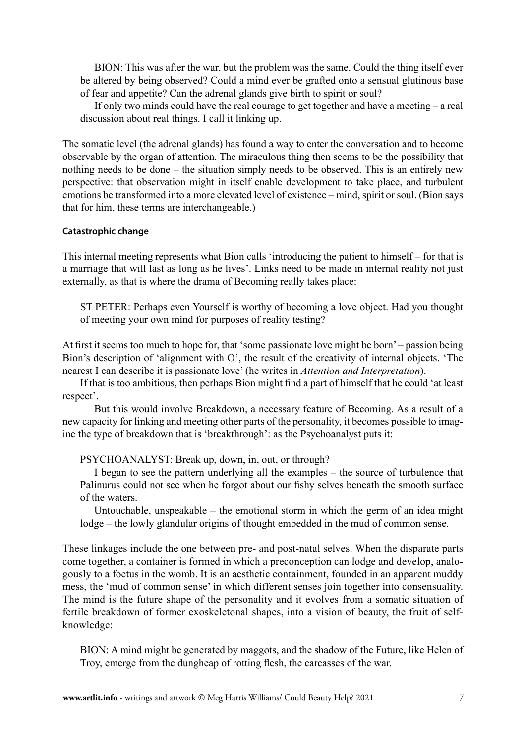BION: This was after the war, but the problem was the same. Could the thing itself ever be altered by being observed? Could a mind ever be grafted onto a sensual glutinous base of fear and appetite? Can the adrenal glands give birth to spirit or soul?

If only two minds could have the real courage to get together and have a meeting – a real discussion about real things. I call it linking up.

The somatic level (the adrenal glands) has found a way to enter the conversation and to become observable by the organ of attention. The miraculous thing then seems to be the possibility that nothing needs to be done – the situation simply needs to be observed. This is an entirely new perspective: that observation might in itself enable development to take place, and turbulent emotions be transformed into a more elevated level of existence – mind, spirit or soul. (Bion says that for him, these terms are interchangeable.)

## **Catastrophic change**

This internal meeting represents what Bion calls 'introducing the patient to himself – for that is a marriage that will last as long as he lives'. Links need to be made in internal reality not just externally, as that is where the drama of Becoming really takes place:

ST PETER: Perhaps even Yourself is worthy of becoming a love object. Had you thought of meeting your own mind for purposes of reality testing?

At first it seems too much to hope for, that 'some passionate love might be born' – passion being Bion's description of 'alignment with O', the result of the creativity of internal objects. 'The nearest I can describe it is passionate love' (he writes in *Attention and Interpretation*).

If that is too ambitious, then perhaps Bion might find a part of himself that he could 'at least respect'.

But this would involve Breakdown, a necessary feature of Becoming. As a result of a new capacity for linking and meeting other parts of the personality, it becomes possible to imagine the type of breakdown that is 'breakthrough': as the Psychoanalyst puts it:

PSYCHOANALYST: Break up, down, in, out, or through?

I began to see the pattern underlying all the examples – the source of turbulence that Palinurus could not see when he forgot about our fishy selves beneath the smooth surface of the waters.

Untouchable, unspeakable – the emotional storm in which the germ of an idea might lodge – the lowly glandular origins of thought embedded in the mud of common sense.

These linkages include the one between pre- and post-natal selves. When the disparate parts come together, a container is formed in which a preconception can lodge and develop, analogously to a foetus in the womb. It is an aesthetic containment, founded in an apparent muddy mess, the 'mud of common sense' in which different senses join together into consensuality. The mind is the future shape of the personality and it evolves from a somatic situation of fertile breakdown of former exoskeletonal shapes, into a vision of beauty, the fruit of selfknowledge:

BION: A mind might be generated by maggots, and the shadow of the Future, like Helen of Troy, emerge from the dungheap of rotting flesh, the carcasses of the war.